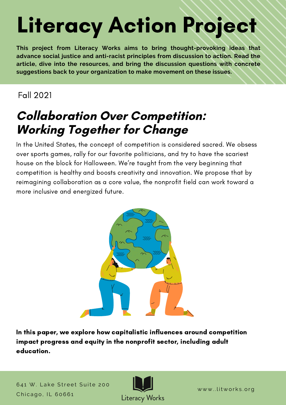# Literacy Action Project

**This project from Literacy Works aims to bring thought-provoking ideas that advance social justice and anti-racist principles from discussion to action. Read the article, dive into the resources, and bring the discussion questions with concrete suggestions back to your organization to make movement on these issues.**

## Fall 2021

## Collaboration Over Competition: Working Together for Change

In the United States, the concept of competition is considered sacred. We obsess over sports games, rally for our favorite politicians, and try to have the scariest house on the block for Halloween. We're taught from the very beginning that competition is healthy and boosts creativity and innovation. We propose that by reimagining collaboration as a core value, the nonprofit field can work toward a more inclusive and energized future.



In this paper, we explore how capitalistic influences around competition impact progress and equity in the nonprofit sector, including adult education.

641 W. Lake Street Suite 200 Chicago, IL 60661



www..litworks.org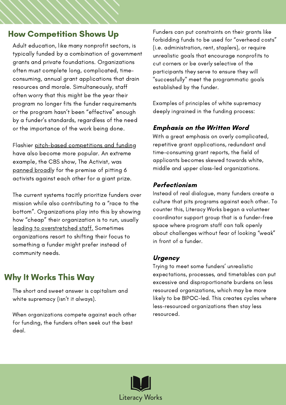## How Competition Shows Up

Adult education, like many nonprofit sectors, is typically funded by a combination of government grants and private foundations. Organizations often must complete long, complicated, timeconsuming, annual grant applications that drain resources and morale. Simultaneously, staff often worry that this might be the year their program no longer fits the funder requirements or the program hasn't been "effective" enough by a funder's standards, regardless of the need or the importance of the work being done.

Flashier pitch-based [competitions](https://nonprofitaf.com/2021/10/why-pitch-based-funding-competitions-are-harmful-and-we-need-to-stop-having-them/) and funding have also become more popular. An extreme example, the CBS show, The Activist, was [panned](https://www.npr.org/2021/09/16/1037960999/cbs-backtracks-on-the-activist-after-a-backlash-including-from-one-of-its-hosts) broadly for the premise of pitting 6 activists against each other for a giant prize.

The current systems tacitly prioritize funders over mission while also contributing to a "race to the bottom". Organizations play into this by showing how "cheap" their organization is to run, usually leading to [overstretched](https://e8ec6f20-0fac-4818-beb3-71c66ac33b3e.filesusr.com/ugd/84991a_1a2b8b4a220849189968696ef40170af.pdf) staff. Sometimes organizations resort to shifting their focus to something a funder might prefer instead of community needs.

## Why It Works This Way

The short and sweet answer is capitalism and white supremacy (isn't it always).

When organizations compete against each other for funding, the funders often seek out the best deal.

Funders can put constraints on their grants like forbidding funds to be used for "overhead costs" (i.e. administration, rent, staplers), or require unrealistic goals that encourage nonprofits to cut corners or be overly selective of the participants they serve to ensure they will "successfully" meet the programmatic goals established by the funder.

Examples of principles of white supremacy deeply ingrained in the funding process:

### Emphasis on the Written Word

With a great emphasis on overly complicated, repetitive grant applications, redundant and time-consuming grant reports, the field of applicants becomes skewed towards white, middle and upper class-led organizations.

### Perfectionism

Instead of real dialogue, many funders create a culture that pits programs against each other. To counter this, Literacy Works began a volunteer coordinator support group that is a funder-free space where program staff can talk openly about challenges without fear of looking "weak" in front of a funder.

### Urgency

Trying to meet some funders' unrealistic expectations, processes, and timetables can put excessive and disproportionate burdens on less resourced organizations, which may be more likely to be BIPOC-led. This creates cycles where less-resourced organizations then stay less resourced.

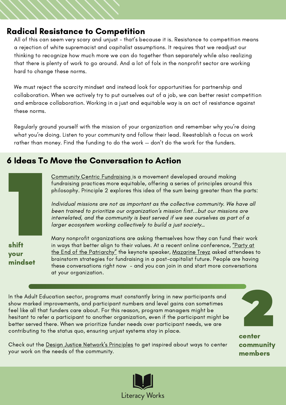## Radical Resistance to Competition

All of this can seem very scary and unjust - that's because it is. Resistance to competition means a rejection of white supremacist and capitalist assumptions. It requires that we readjust our thinking to recognize how much more we can do together than separately while also realizing that there is plenty of work to go around. And a lot of folx in the nonprofit sector are working hard to change these norms.

We must reject the scarcity mindset and instead look for opportunities for partnership and collaboration. When we actively try to put ourselves out of a job, we can better resist competition and embrace collaboration. Working in a just and equitable way is an act of resistance against these norms.

Regularly ground yourself with the mission of your organization and remember why you're doing what you're doing. Listen to your community and follow their lead. Reestablish a focus on work rather than money. Find the funding to do the work — don't do the work for the funders.

## 6 Ideas To Move the Conversation to Action

Community Centric [Fundraising](https://communitycentricfundraising.org/ccf-principles/) is a movement developed around making fundraising practices more equitable, offering a series of principles around this philosophy. Principle 2 explores this idea of the sum being greater than the parts:

Individual missions are not as important as the collective community. We have all been trained to prioritize our organization's mission first...but our missions are interrelated, and the community is best served if we see ourselves as part of a larger ecosystem working collectively to build a just society…

shift your mindset Many nonprofit organizations are asking themselves how they can fund their work in ways that better align to their values. At a recent online [conference,](https://endofpatriarchy.com/) "Party at the End of the Patriarchy" the keynote speaker, [Mazarine](https://mazarinetreyz.com/) Treyz asked attendees to brainstorm strategies for fundraising in a post-capitalist future. People are having these conversations right now - and you can join in and start more conversations at your organization.

In the Adult Education sector, programs must constantly bring in new participants and show marked improvements, and participant numbers and level gains can sometimes feel like all that funders care about. For this reason, program managers might be hesitant to refer a participant to another organization, even if the participant might be better served there. When we prioritize funder needs over participant needs, we are contributing to the status quo, ensuring unjust systems stay in place.

Check out the Design Justice Network's [Principles](https://designjustice.org/read-the-principles) to get inspired about ways to center your work on the needs of the community.



center community members

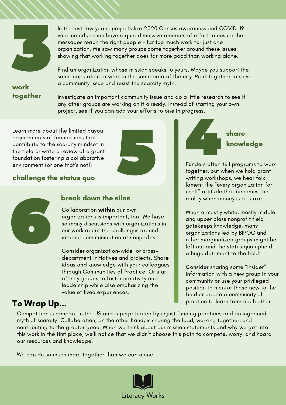

In the last few years, projects like 2020 Census awareness and COVID-19 vaccine education have required massive amounts of effort to ensure the messages reach the right people - far too much work for just one organization. We saw many groups come together around these issues showing that working together does far more good than working alone.

Find an organization whose mission speaks to yours. Maybe you support the same population or work in the same area of the city. Work together to solve a community issue and resist the scarcity myth.

## work together

Investigate an important community issue and do a little research to see if any other groups are working on it already. Instead of starting your own project, see if you can add your efforts to one in progress.

Learn more about the limited payout [requirements](https://nonprofitaf.com/2019/08/the-ethical-argument-for-foundations-to-increase-their-annual-payout-rate-beyond-5/) of [foundations](https://nonprofitaf.com/2019/08/the-ethical-argument-for-foundations-to-increase-their-annual-payout-rate-beyond-5/) that contribute to the scarcity mindset in the field or write a [review](https://grantadvisor.org/) of a grant foundation fostering a [collaborative](https://grantadvisor.org/) environment (or one that's not!)

## challenge the status quo



## break down the silos

Collaboration within our own organizations is important, too! We have so many discussions with organizations in our work about the challenges around internal communication at nonprofits.

Consider organization-wide or crossdepartment initiatives and projects. Share ideas and knowledge with your colleagues through Communities of Practice. Or start affinity groups to foster creativity and leadership while also emphasizing the value of lived experiences.

## To Wrap Up...

Competition is rampant in the US and is perpetuated by unjust funding practices and an ingrained myth of scarcity. Collaboration, on the other hand, is sharing the load, working together, and contributing to the greater good. When we think about our mission statements and why we got into this work in the first place, we'll notice that we didn't choose this path to compete, worry, and hoard our resources and knowledge.

We can do so much more together than we can alone.





knowledge

Funders often tell programs to work together, but when we hold grant writing workshops, we hear folx lament the "every organization for itself" attitude that becomes the reality when money is at stake.

When a mostly white, mostly middle and upper class nonprofit field gatekeeps knowledge, many organizations led by BIPOC and other marginalized groups might be left out and the status quo upheld a huge detriment to the field!

Consider sharing some "insider" information with a new group in your community or use your privileged position to mentor those new to the field or create a community of practice to learn from each other.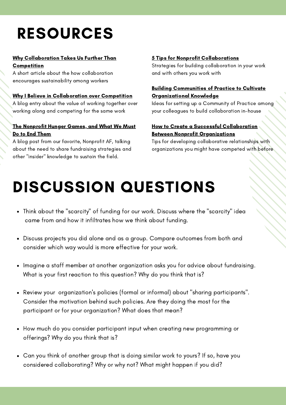## RESOURCES

#### Why [Collaboration](https://www.classy.org/blog/nonprofit-collaboration/) Takes Us Further Than **Competition**

[A](https://communitycentricfundraising.org/ccf-principles/) short article about the how collaboration encourages sustainability among workers

#### Why I Believe in [Collaboration](https://www.bakercreative.com.au/post/why-i-believe-in-collaboration-over-competition) over Competition

A blog entry about the value of working together over working along and competing for the same work

#### The [Nonprofit](https://nonprofitaf.com/2015/08/the-nonprofit-hunger-games-and-what-we-must-do-to-end-them/) Hunger Games, and What We Must Do to End Them

A blog post from our favorite, Nonprofit AF, talking about the need to share fundraising strategies and other "insider" knowledge to sustain the field.

#### 5 Tips for Nonprofit [Collaborations](https://www.councilofnonprofits.org/thought-leadership/5-tips-nonprofit-collaborations)

Strategies for building collaboration in your work and with others you work with

#### Building Communities of Practice to Cultivate [Organizational](https://helpjuice.com/blog/communities-of-practice) Knowledge

Ideas for setting up a Community of Practice among your colleagues to build collaboration in-house

#### How to Create a Successful Collaboration Between Nonprofit [Organizations](https://charityvillage.com/how_to_create_successful_collaboration_between_nonprofit_organizations/)

Tips for developing collaborative relationships with organizations you might have competed with before

## DISCUSSION QUESTIONS

- Think about the "scarcity" of funding for our work. Discuss where the "scarcity" idea came from and how it infiltrates how we think about funding.
- Discuss projects you did alone and as a group. Compare outcomes from both and consider which way would is more effective for your work.
- Imagine a staff member at another organization asks you for advice about fundraising. What is your first reaction to this question? Why do you think that is?
- Review your organization's policies (formal or informal) about "sharing participants". Consider the motivation behind such policies. Are they doing the most for the participant or for your organization? What does that mean?
- How much do you consider participant input when creating new programming or offerings? Why do you think that is?
- Can you think of another group that is doing similar work to yours? If so, have you considered collaborating? Why or why not? What might happen if you did?